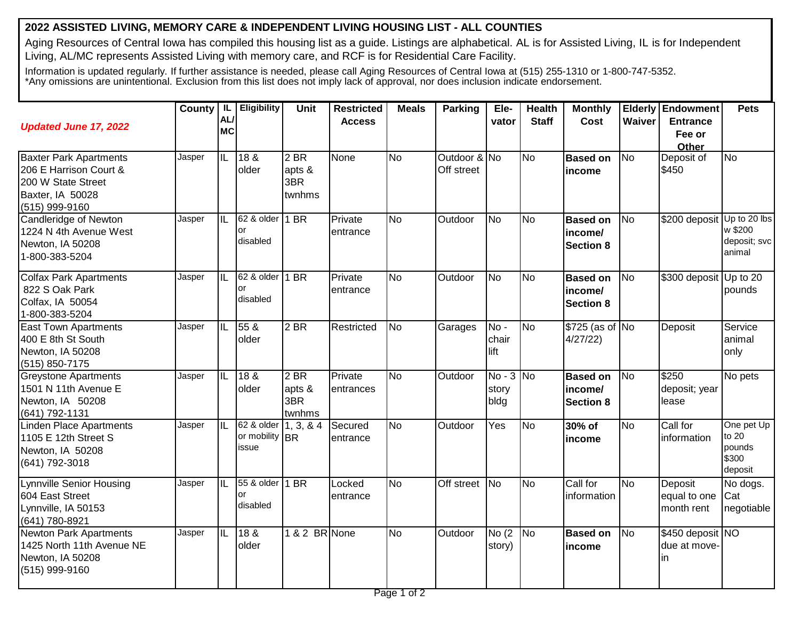## **2022 ASSISTED LIVING, MEMORY CARE & INDEPENDENT LIVING HOUSING LIST - ALL COUNTIES**

Aging Resources of Central Iowa has compiled this housing list as a guide. Listings are alphabetical. AL is for Assisted Living, IL is for Independent Living, AL/MC represents Assisted Living with memory care, and RCF is for Residential Care Facility.

Information is updated regularly. If further assistance is needed, please call Aging Resources of Central Iowa at (515) 255-1310 or 1-800-747-5352. \*Any omissions are unintentional. Exclusion from this list does not imply lack of approval, nor does inclusion indicate endorsement.

| <b>Updated June 17, 2022</b>                                                                                        | County   IL | <b>AL</b><br><b>MC</b>   | Eligibility                                     | <b>Unit</b>                       | <b>Restricted</b><br><b>Access</b> | <b>Meals</b> | <b>Parking</b>             | Ele-<br>vator                | <b>Health</b><br><b>Staff</b> | <b>Monthly</b><br>Cost                         | Waiver         | <b>Elderly Endowment</b><br><b>Entrance</b><br>Fee or<br>Other | <b>Pets</b>                                       |
|---------------------------------------------------------------------------------------------------------------------|-------------|--------------------------|-------------------------------------------------|-----------------------------------|------------------------------------|--------------|----------------------------|------------------------------|-------------------------------|------------------------------------------------|----------------|----------------------------------------------------------------|---------------------------------------------------|
| <b>Baxter Park Apartments</b><br>206 E Harrison Court &<br>200 W State Street<br>Baxter, IA 50028<br>(515) 999-9160 | Jasper      | $\overline{\mathsf{IL}}$ | 18 <sub>8</sub><br>older                        | $2$ BR<br>apts &<br>3BR<br>twnhms | None                               | <b>No</b>    | Outdoor & No<br>Off street |                              | <b>No</b>                     | <b>Based on</b><br>income                      | <b>No</b>      | Deposit of<br>\$450                                            | No                                                |
| Candleridge of Newton<br>1224 N 4th Avenue West<br>Newton, IA 50208<br>1-800-383-5204                               | Jasper      | $\overline{\mathbb{L}}$  | 62 & older<br>or<br>disabled                    | 1 BR                              | Private<br>entrance                | No           | Outdoor                    | No                           | <b>No</b>                     | <b>Based on</b><br>income/<br><b>Section 8</b> | No             | \$200 deposit Up to 20 lbs                                     | w \$200<br>deposit; svc<br>animal                 |
| <b>Colfax Park Apartments</b><br>822 S Oak Park<br>Colfax, IA 50054<br>1-800-383-5204                               | Jasper      | IL                       | 62 & older<br>or<br>disabled                    | 1 BR                              | Private<br>entrance                | <b>No</b>    | Outdoor                    | No                           | <b>No</b>                     | <b>Based on</b><br>income/<br><b>Section 8</b> | N <sub>o</sub> | \$300 deposit Up to 20                                         | pounds                                            |
| <b>East Town Apartments</b><br>400 E 8th St South<br>Newton, IA 50208<br>(515) 850-7175                             | Jasper      | $\overline{\mathbb{L}}$  | 55 <sub>8</sub><br>older                        | $2$ BR                            | Restricted                         | <b>No</b>    | Garages                    | No-<br>chair<br>lift         | <b>No</b>                     | \$725 (as of No<br>4/27/22)                    |                | Deposit                                                        | Service<br>animal<br>only                         |
| <b>Greystone Apartments</b><br>1501 N 11th Avenue E<br>Newton, IA 50208<br>(641) 792-1131                           | Jasper      | $\overline{\mathbb{L}}$  | 18 <sub>8</sub><br>older                        | 2 BR<br>apts &<br>3BR<br>twnhms   | Private<br>entrances               | <b>No</b>    | Outdoor                    | $No - 3 No$<br>story<br>bldg |                               | <b>Based on</b><br>income/<br><b>Section 8</b> | <b>No</b>      | \$250<br>deposit; year<br>lease                                | No pets                                           |
| <b>Linden Place Apartments</b><br>1105 E 12th Street S<br>Newton, IA 50208<br>(641) 792-3018                        | Jasper      | $\overline{\mathbb{L}}$  | 62 & older 1, 3, & 4<br>or mobility BR<br>issue |                                   | Secured<br>entrance                | No           | Outdoor                    | Yes                          | <b>No</b>                     | 30% of<br>income                               | <b>No</b>      | Call for<br>information                                        | One pet Up<br>to 20<br>pounds<br>\$300<br>deposit |
| <b>Lynnville Senior Housing</b><br>604 East Street<br>Lynnville, IA 50153<br>(641) 780-8921                         | Jasper      | $\overline{\text{IL}}$   | 55 & older   1 BR<br>or<br>disabled             |                                   | Locked<br>entrance                 | No           | Off street No              |                              | No                            | Call for<br>information                        | <b>No</b>      | Deposit<br>equal to one<br>month rent                          | No dogs.<br>Cat<br>negotiable                     |
| <b>Newton Park Apartments</b><br>1425 North 11th Avenue NE<br>Newton, IA 50208<br>(515) 999-9160                    | Jasper      | $\overline{\mathbb{L}}$  | 18 <sub>8</sub><br>older                        | 1 & 2 BR None                     |                                    | <b>No</b>    | Outdoor                    | No(2)<br>story)              | <b>No</b>                     | <b>Based on</b><br>income                      | <b>No</b>      | \$450 deposit NO<br>due at move-<br>in                         |                                                   |